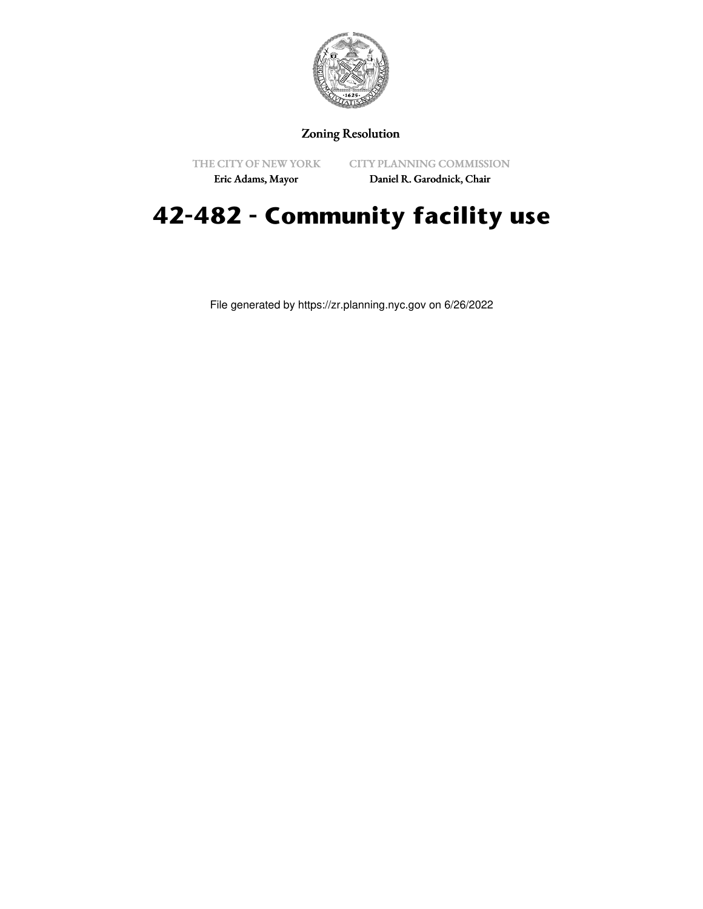

## Zoning Resolution

THE CITY OF NEW YORK

CITY PLANNING COMMISSION

Eric Adams, Mayor

Daniel R. Garodnick, Chair

## **42-482 - Community facility use**

File generated by https://zr.planning.nyc.gov on 6/26/2022